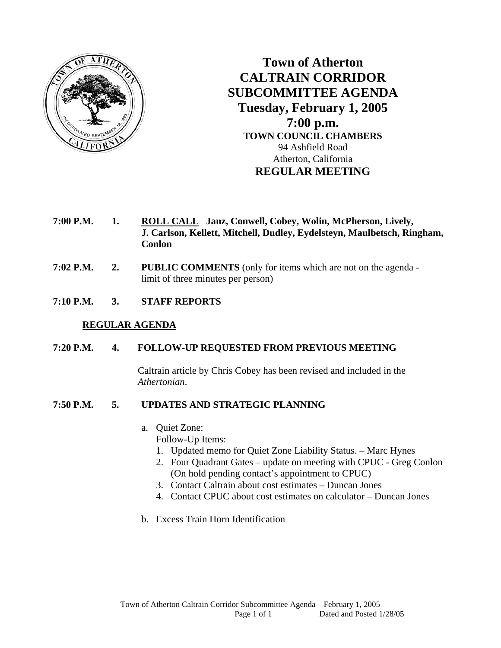

**Town of Atherton CALTRAIN CORRIDOR SUBCOMMITTEE AGENDA Tuesday, February 1, 2005 7:00 p.m. TOWN COUNCIL CHAMBERS**  94 Ashfield Road Atherton, California **REGULAR MEETING** 

- **7:00 P.M. 1. ROLL CALL Janz, Conwell, Cobey, Wolin, McPherson, Lively, J. Carlson, Kellett, Mitchell, Dudley, Eydelsteyn, Maulbetsch, Ringham, Conlon**
- **7:02 P.M. 2. PUBLIC COMMENTS** (only for items which are not on the agenda limit of three minutes per person)
- **7:10 P.M. 3. STAFF REPORTS**

## **REGULAR AGENDA**

## **7:20 P.M. 4. FOLLOW-UP REQUESTED FROM PREVIOUS MEETING**

Caltrain article by Chris Cobey has been revised and included in the *Athertonian*.

## **7:50 P.M. 5. UPDATES AND STRATEGIC PLANNING**

- a. Quiet Zone:
	- Follow-Up Items:
	- 1. Updated memo for Quiet Zone Liability Status. Marc Hynes
	- 2. Four Quadrant Gates update on meeting with CPUC Greg Conlon (On hold pending contact's appointment to CPUC)
	- 3. Contact Caltrain about cost estimates Duncan Jones
	- 4. Contact CPUC about cost estimates on calculator Duncan Jones
- b. Excess Train Horn Identification